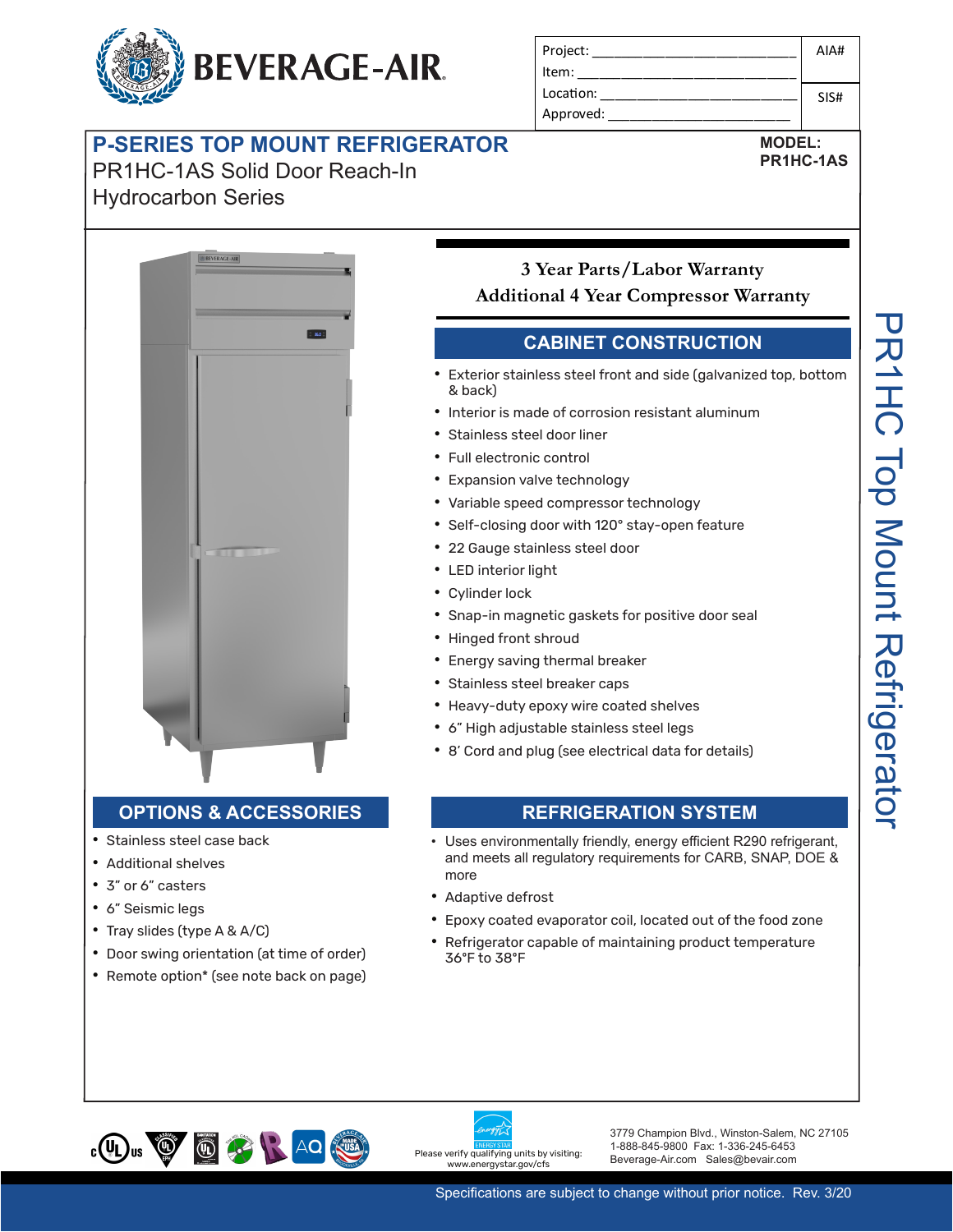

| Project:  | AIA# |
|-----------|------|
| Item:     |      |
| Location: | SIS# |
| Approved: |      |

**MODEL: PR1HC-1AS**

# **P-SERIES TOP MOUNT REFRIGERATOR**

PR1HC-1AS Solid Door Reach-In **prior notice. Rev. 8/19** Hydrocarbon Series



## **3 Year Parts/Labor Warranty Additional 4 Year Compressor Warranty**

### **CABINET CONSTRUCTION**

- Project: \_\_\_\_\_\_\_\_\_\_\_\_\_\_\_\_\_\_\_\_\_\_\_\_\_\_\_\_  $\bullet$  Exterior stainless steel front and side (galvanized top, bottom  $\&$  back) AIA#
- Interior is made of corrosion resistant aluminum
	-
	- **•** Full electronic control
	- Expansion valve technology
	- Variable speed compressor technology
- **•** Self-closing door with 120° stay-open feature
- **Additional 22 Gauge stainless steel door** 
	- LED interior light
	- Cylinder lock
		- Snap-in magnetic gaskets for positive door seal
- Hinged front shroud
	- Energy saving thermal breaker
	- Stainless steel breaker caps
	- Modern Double doors feature outside the coated shelves<br>
	 Heavy-duty epoxy wire coated shelves
	- that is tempered for added safety 6" High adjustable stainless steel legs
		- 8' Cord and plug (see electrical data for details)

#### **OPTIONS & ACCESSORIES**

- Stainless steel case back
- **•** Additional shelves
- 3" or 6" casters
- 6" Seismic legs • 3" or 6" casters<br>• 6" Seismic legs<br>• Tray slides (type A 8, A/C)<br>• Epoxy coate
- $\cdot$  Tray slides (type A & A/C)
- $\vert\bullet\vert$  Door swing orientation (at time of order) environment<sub>al</sub> standards
- $\vert \cdot \vert$  Remote option\* (see note back on page) Condenser is designed to be low maintenance, and energy Condenser low manager low manager is and energy of the new series of the condenser of the condenser of the condenser of the condenser of the condenser of the condenser of the condenser of the condenser of the condenser of

#### **OPTIONS & ACCESSORIES REFRIGERATION SYSTEM**

- tecł<br>stay<br>or premier:<br>keriste iste<br>ical<br>Model (Premier:<br>il, lo<br>tair: Whisper quiet reference and the form of the control of the control of the control of the control of the control of the control of the control of the control of the control of the control of the control of the control of th and meets all regulatory requirements for CARB, SNAP, DOE & Musical Contrainess steel front an & back)<br>
Merchandisers: the diversion reserved to the Stainless steel door liner<br>
Musical State Hoof Model Control<br>
Musical State Hoof Musical Control<br>
Musical State Control of the State • Uses environmentally friendly, energy efficient R290 refrigerant,<br>and meets all requiatory requirements for CARB, SNAP, DOF & more
	- Adaptive defrost
	- **REFRIGERATION SYSTEM** Epoxy coated evaporator coil, located out of the food zone
- e of order) Refrigerator capable of maintaining product temperature<br>36°F to 38°F 36ºF to 38ºF



Please verify qualifying units by visiting:<br>B ar.gov/cfs  $\frac{1}{7}$  Champion Blvd., Winston-Salem, NC 271055  $\frac{1}{2}$ 

3779 Champion Blvd., Winston-Salem, NC 27105 1-888-845-9800 Fax: 1-336-245-6453 Beverage-Air.com Sales@bevair.com